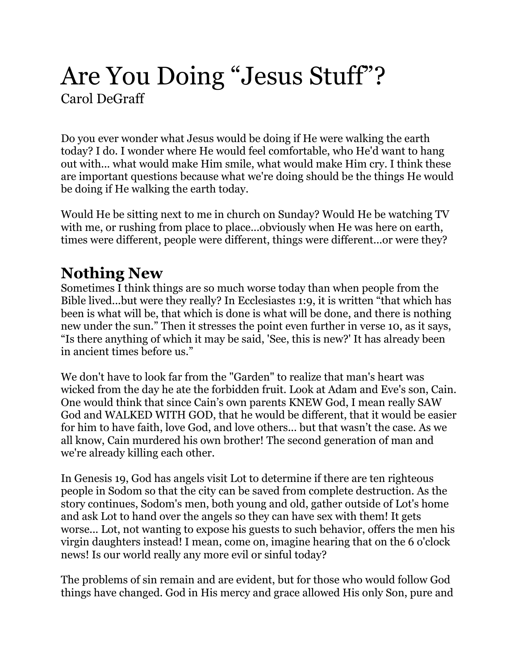# Are You Doing "Jesus Stuff"? Carol DeGraff

Do you ever wonder what Jesus would be doing if He were walking the earth today? I do. I wonder where He would feel comfortable, who He'd want to hang out with... what would make Him smile, what would make Him cry. I think these are important questions because what we're doing should be the things He would be doing if He walking the earth today.

Would He be sitting next to me in church on Sunday? Would He be watching TV with me, or rushing from place to place...obviously when He was here on earth, times were different, people were different, things were different...or were they?

#### **Nothing New**

Sometimes I think things are so much worse today than when people from the Bible lived...but were they really? In Ecclesiastes 1:9, it is written "that which has been is what will be, that which is done is what will be done, and there is nothing new under the sun." Then it stresses the point even further in verse 10, as it says, "Is there anything of which it may be said, 'See, this is new?' It has already been in ancient times before us."

We don't have to look far from the "Garden" to realize that man's heart was wicked from the day he ate the forbidden fruit. Look at Adam and Eve's son, Cain. One would think that since Cain's own parents KNEW God, I mean really SAW God and WALKED WITH GOD, that he would be different, that it would be easier for him to have faith, love God, and love others... but that wasn't the case. As we all know, Cain murdered his own brother! The second generation of man and we're already killing each other.

In Genesis 19, God has angels visit Lot to determine if there are ten righteous people in Sodom so that the city can be saved from complete destruction. As the story continues, Sodom's men, both young and old, gather outside of Lot's home and ask Lot to hand over the angels so they can have sex with them! It gets worse... Lot, not wanting to expose his guests to such behavior, offers the men his virgin daughters instead! I mean, come on, imagine hearing that on the 6 o'clock news! Is our world really any more evil or sinful today?

The problems of sin remain and are evident, but for those who would follow God things have changed. God in His mercy and grace allowed His only Son, pure and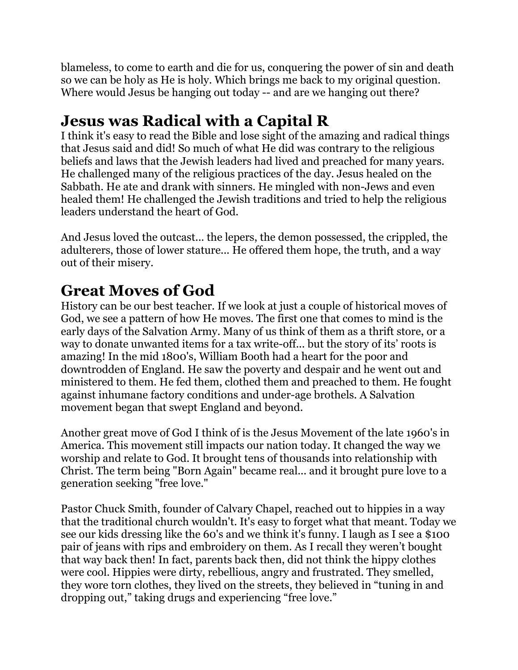blameless, to come to earth and die for us, conquering the power of sin and death so we can be holy as He is holy. Which brings me back to my original question. Where would Jesus be hanging out today -- and are we hanging out there?

### **Jesus was Radical with a Capital R**

I think it's easy to read the Bible and lose sight of the amazing and radical things that Jesus said and did! So much of what He did was contrary to the religious beliefs and laws that the Jewish leaders had lived and preached for many years. He challenged many of the religious practices of the day. Jesus healed on the Sabbath. He ate and drank with sinners. He mingled with non-Jews and even healed them! He challenged the Jewish traditions and tried to help the religious leaders understand the heart of God.

And Jesus loved the outcast... the lepers, the demon possessed, the crippled, the adulterers, those of lower stature... He offered them hope, the truth, and a way out of their misery.

## **Great Moves of God**

History can be our best teacher. If we look at just a couple of historical moves of God, we see a pattern of how He moves. The first one that comes to mind is the early days of the Salvation Army. Many of us think of them as a thrift store, or a way to donate unwanted items for a tax write-off... but the story of its' roots is amazing! In the mid 1800's, William Booth had a heart for the poor and downtrodden of England. He saw the poverty and despair and he went out and ministered to them. He fed them, clothed them and preached to them. He fought against inhumane factory conditions and under-age brothels. A Salvation movement began that swept England and beyond.

Another great move of God I think of is the Jesus Movement of the late 1960's in America. This movement still impacts our nation today. It changed the way we worship and relate to God. It brought tens of thousands into relationship with Christ. The term being "Born Again" became real... and it brought pure love to a generation seeking "free love."

Pastor Chuck Smith, founder of Calvary Chapel, reached out to hippies in a way that the traditional church wouldn't. It's easy to forget what that meant. Today we see our kids dressing like the 60's and we think it's funny. I laugh as I see a \$100 pair of jeans with rips and embroidery on them. As I recall they weren't bought that way back then! In fact, parents back then, did not think the hippy clothes were cool. Hippies were dirty, rebellious, angry and frustrated. They smelled, they wore torn clothes, they lived on the streets, they believed in "tuning in and dropping out," taking drugs and experiencing "free love."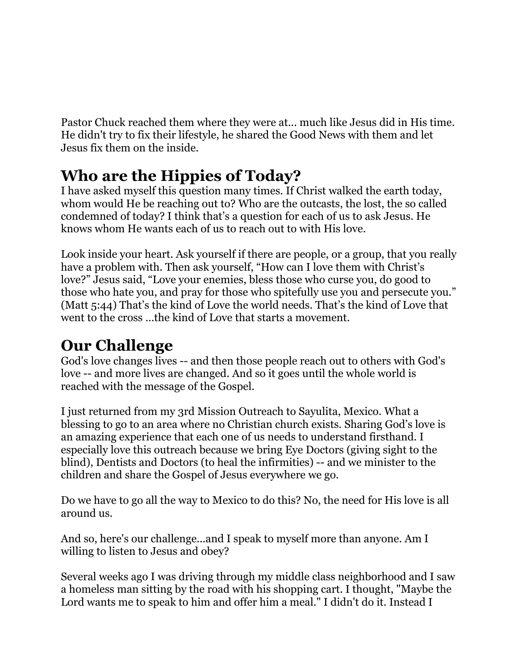Pastor Chuck reached them where they were at... much like Jesus did in His time. He didn't try to fix their lifestyle, he shared the Good News with them and let Jesus fix them on the inside.

## **Who are the Hippies of Today?**

I have asked myself this question many times. If Christ walked the earth today, whom would He be reaching out to? Who are the outcasts, the lost, the so called condemned of today? I think that's a question for each of us to ask Jesus. He knows whom He wants each of us to reach out to with His love.

Look inside your heart. Ask yourself if there are people, or a group, that you really have a problem with. Then ask yourself, "How can I love them with Christ's love?" Jesus said, "Love your enemies, bless those who curse you, do good to those who hate you, and pray for those who spitefully use you and persecute you." (Matt 5:44) That's the kind of Love the world needs. That's the kind of Love that went to the cross …the kind of Love that starts a movement.

### **Our Challenge**

God's love changes lives -- and then those people reach out to others with God's love -- and more lives are changed. And so it goes until the whole world is reached with the message of the Gospel.

I just returned from my 3rd Mission Outreach to Sayulita, Mexico. What a blessing to go to an area where no Christian church exists. Sharing God's love is an amazing experience that each one of us needs to understand firsthand. I especially love this outreach because we bring Eye Doctors (giving sight to the blind), Dentists and Doctors (to heal the infirmities) -- and we minister to the children and share the Gospel of Jesus everywhere we go.

Do we have to go all the way to Mexico to do this? No, the need for His love is all around us.

And so, here's our challenge...and I speak to myself more than anyone. Am I willing to listen to Jesus and obey?

Several weeks ago I was driving through my middle class neighborhood and I saw a homeless man sitting by the road with his shopping cart. I thought, "Maybe the Lord wants me to speak to him and offer him a meal." I didn't do it. Instead I